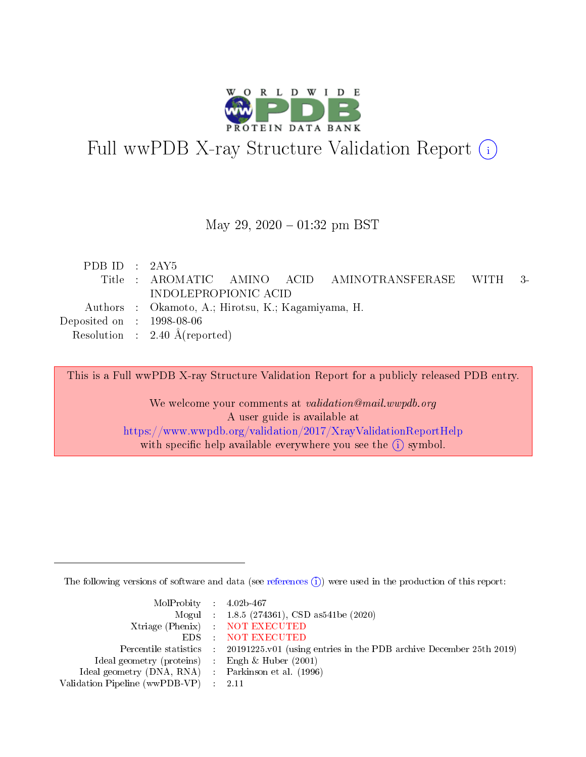

# Full wwPDB X-ray Structure Validation Report (i)

#### May 29,  $2020 - 01:32$  pm BST

| PDB ID : $2AY5$                                           |                                                          |  |
|-----------------------------------------------------------|----------------------------------------------------------|--|
|                                                           | Title : AROMATIC AMINO ACID AMINOTRANSFERASE WITH<br>-3- |  |
|                                                           | INDOLEPROPIONIC ACID                                     |  |
|                                                           | Authors : Okamoto, A.; Hirotsu, K.; Kagamiyama, H.       |  |
| $\rm Deposited\; on \;\; : \;\; 1998\text{-}08\text{-}06$ |                                                          |  |
|                                                           | Resolution : $2.40 \text{ Å}$ (reported)                 |  |
|                                                           |                                                          |  |

This is a Full wwPDB X-ray Structure Validation Report for a publicly released PDB entry.

We welcome your comments at validation@mail.wwpdb.org A user guide is available at <https://www.wwpdb.org/validation/2017/XrayValidationReportHelp> with specific help available everywhere you see the  $(i)$  symbol.

The following versions of software and data (see [references](https://www.wwpdb.org/validation/2017/XrayValidationReportHelp#references)  $(i)$ ) were used in the production of this report:

| $MolProbability$ 4.02b-467                          |                                                                                            |
|-----------------------------------------------------|--------------------------------------------------------------------------------------------|
|                                                     | Mogul : $1.8.5$ (274361), CSD as 541be (2020)                                              |
|                                                     | Xtriage (Phenix) NOT EXECUTED                                                              |
|                                                     | EDS NOT EXECUTED                                                                           |
|                                                     | Percentile statistics : 20191225.v01 (using entries in the PDB archive December 25th 2019) |
| Ideal geometry (proteins) :                         | Engh & Huber $(2001)$                                                                      |
| Ideal geometry (DNA, RNA) : Parkinson et al. (1996) |                                                                                            |
| Validation Pipeline (wwPDB-VP)                      | - 2.11                                                                                     |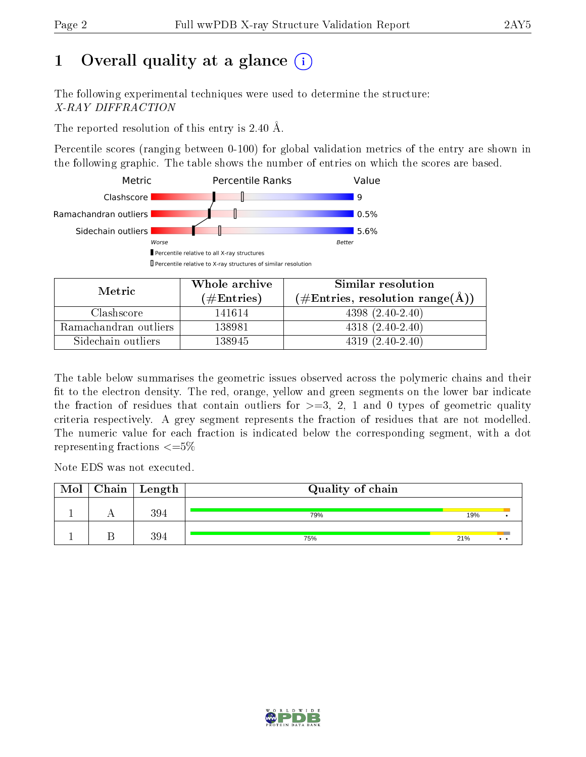# 1 [O](https://www.wwpdb.org/validation/2017/XrayValidationReportHelp#overall_quality)verall quality at a glance  $(i)$

The following experimental techniques were used to determine the structure: X-RAY DIFFRACTION

The reported resolution of this entry is 2.40 Å.

Percentile scores (ranging between 0-100) for global validation metrics of the entry are shown in the following graphic. The table shows the number of entries on which the scores are based.



| Metric                | Whole archive<br>(# $\rm{Entries}$ ) | Similar resolution<br>$(\#\text{Entries}, \text{resolution range}(\text{\AA}))$ |
|-----------------------|--------------------------------------|---------------------------------------------------------------------------------|
| Clashscore            | 141614                               | $4398(2.40-2.40)$                                                               |
| Ramachandran outliers | 138981                               | $4318(2.40-2.40)$                                                               |
| Sidechain outliers    | 138945                               | $4319(2.40-2.40)$                                                               |

The table below summarises the geometric issues observed across the polymeric chains and their fit to the electron density. The red, orange, yellow and green segments on the lower bar indicate the fraction of residues that contain outliers for  $\geq=3$ , 2, 1 and 0 types of geometric quality criteria respectively. A grey segment represents the fraction of residues that are not modelled. The numeric value for each fraction is indicated below the corresponding segment, with a dot representing fractions  $\leq=5\%$ 

Note EDS was not executed.

| Mol | $\mid$ Chain $\mid$ Length | Quality of chain |     |  |  |  |
|-----|----------------------------|------------------|-----|--|--|--|
|     | 394                        | 79%              | 19% |  |  |  |
|     | 394                        | 75%              | 21% |  |  |  |

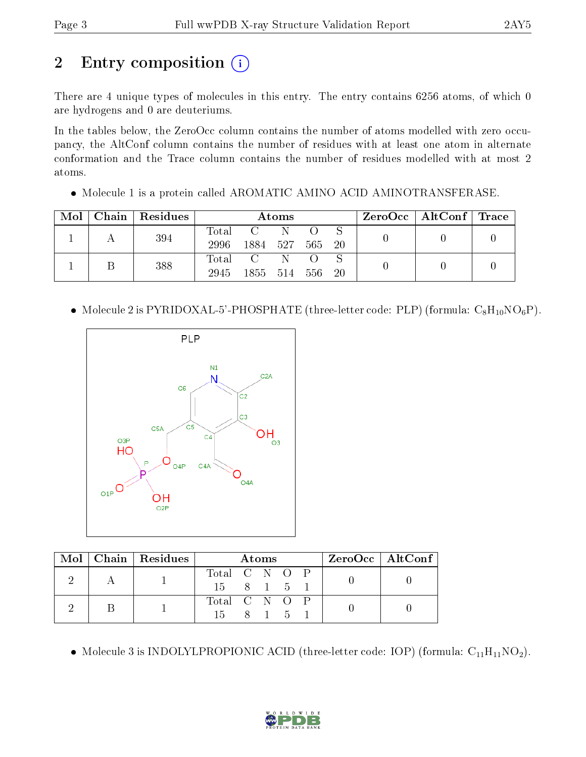# 2 Entry composition (i)

There are 4 unique types of molecules in this entry. The entry contains 6256 atoms, of which 0 are hydrogens and 0 are deuteriums.

In the tables below, the ZeroOcc column contains the number of atoms modelled with zero occupancy, the AltConf column contains the number of residues with at least one atom in alternate conformation and the Trace column contains the number of residues modelled with at most 2 atoms.

• Molecule 1 is a protein called AROMATIC AMINO ACID AMINOTRANSFERASE.

| Mol | Chain   Residues | Atoms         |                             |    | $\text{ZeroOcc}$   AltConf   Trace |     |  |  |
|-----|------------------|---------------|-----------------------------|----|------------------------------------|-----|--|--|
|     | 394              | Total<br>2996 | 1884 527                    | N  | 565                                | -20 |  |  |
|     | 388              | Total<br>2945 | $\sim$ C $\sim$<br>1855 514 | -N | 556                                | -20 |  |  |

• Molecule 2 is PYRIDOXAL-5'-PHOSPHATE (three-letter code: PLP) (formula:  $C_8H_{10}NO_6P$ ).



|  | $Mol$   Chain   Residues | <b>Atoms</b>             |  |  | ZeroOcc   AltConf |  |  |
|--|--------------------------|--------------------------|--|--|-------------------|--|--|
|  |                          | Total C N O P            |  |  |                   |  |  |
|  |                          | $15 \t 8 \t 1 \t 5 \t 1$ |  |  |                   |  |  |
|  |                          | Total C N O P            |  |  |                   |  |  |
|  |                          | 15 8 1 5                 |  |  |                   |  |  |

• Molecule 3 is INDOLYLPROPIONIC ACID (three-letter code: IOP) (formula:  $C_{11}H_{11}NO_2$ ).

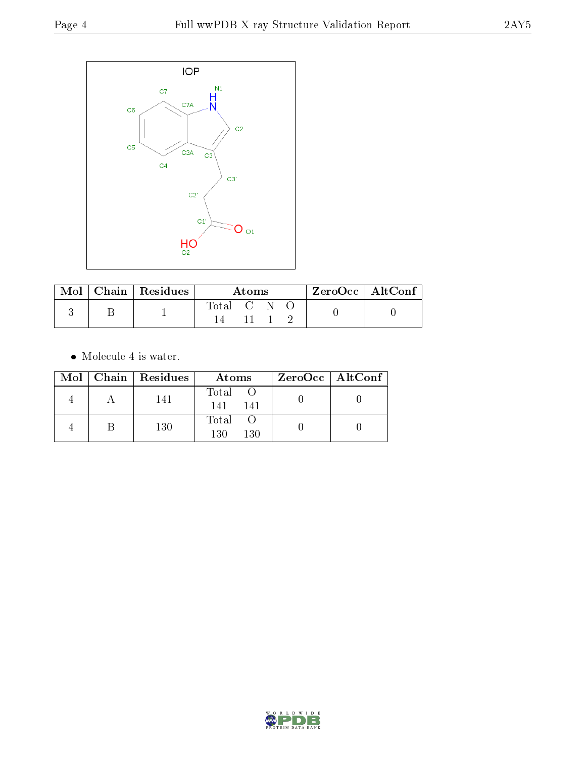

|  | $\text{Mol}$   Chain   Residues | Atoms       |  |  |  | $ZeroOcc \   \$ AltConf |
|--|---------------------------------|-------------|--|--|--|-------------------------|
|  |                                 | Total C N O |  |  |  |                         |
|  |                                 |             |  |  |  |                         |

 $\bullet\,$  Molecule 4 is water.

|  | Mol   Chain   Residues | Atoms               | $ZeroOcc \   \ AltConf \  $ |
|--|------------------------|---------------------|-----------------------------|
|  | 141                    | Total<br>141<br>141 |                             |
|  | 130                    | Total<br>130<br>130 |                             |

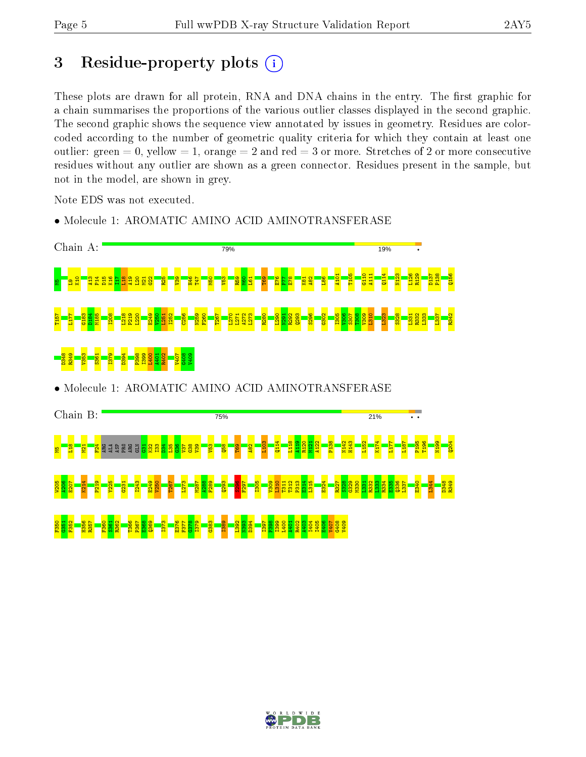## 3 Residue-property plots  $(i)$

These plots are drawn for all protein, RNA and DNA chains in the entry. The first graphic for a chain summarises the proportions of the various outlier classes displayed in the second graphic. The second graphic shows the sequence view annotated by issues in geometry. Residues are colorcoded according to the number of geometric quality criteria for which they contain at least one outlier: green  $= 0$ , yellow  $= 1$ , orange  $= 2$  and red  $= 3$  or more. Stretches of 2 or more consecutive residues without any outlier are shown as a green connector. Residues present in the sample, but not in the model, are shown in grey.

Note EDS was not executed.

• Molecule 1: AROMATIC AMINO ACID AMINOTRANSFERASE



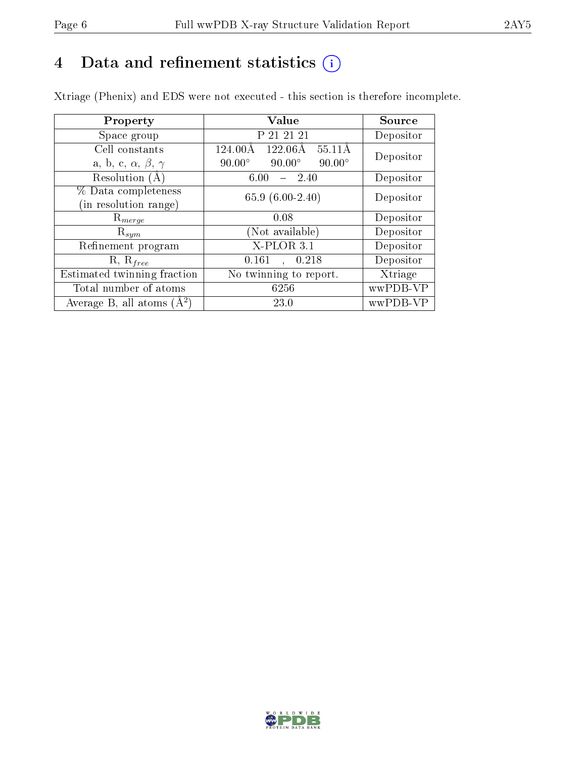# 4 Data and refinement statistics  $(i)$

Xtriage (Phenix) and EDS were not executed - this section is therefore incomplete.

| Property                               | Value                                              | Source    |  |
|----------------------------------------|----------------------------------------------------|-----------|--|
| Space group                            | P 21 21 21                                         | Depositor |  |
| Cell constants                         | $122.06\text{\AA}$<br>$55.11\text{\AA}$<br>124.00Å | Depositor |  |
| a, b, c, $\alpha$ , $\beta$ , $\gamma$ | $90.00^\circ$<br>$90.00^\circ$<br>$90.00^\circ$    |           |  |
| Resolution (A)                         | 6.00<br>- 2.40                                     | Depositor |  |
| % Data completeness                    | 65.9 $(6.00-2.40)$                                 | Depositor |  |
| in resolution range)                   |                                                    |           |  |
| $\mathrm{R}_{merge}$                   | 0.08                                               | Depositor |  |
| $\mathrm{R}_{sym}$                     | (Not available)                                    | Depositor |  |
| Refinement program                     | $X$ -PLOR 3.1                                      | Depositor |  |
| $R, R_{free}$                          | , 0.218<br>0.161                                   | Depositor |  |
| Estimated twinning fraction            | No twinning to report.                             | Xtriage   |  |
| Total number of atoms                  | 6256                                               | wwPDB-VP  |  |
| Average B, all atoms $(A^2)$           | 23.0                                               | wwPDB-VP  |  |

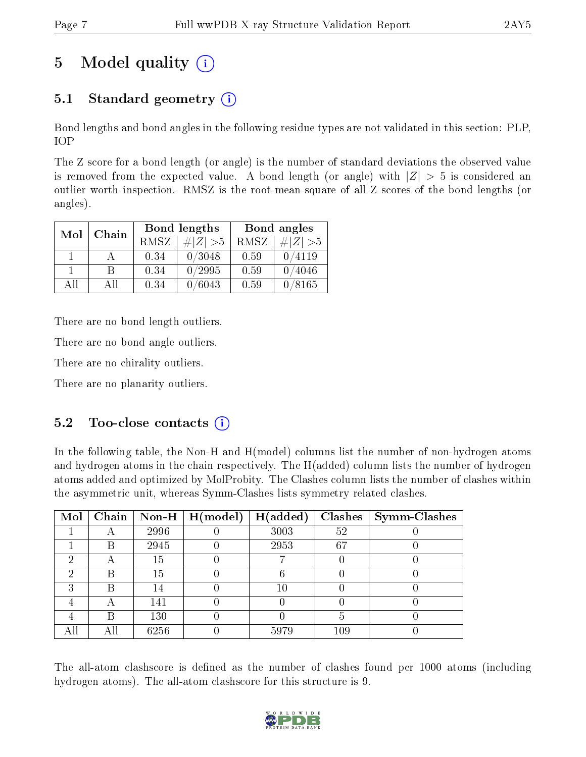# 5 Model quality  $(i)$

## 5.1 Standard geometry  $(i)$

Bond lengths and bond angles in the following residue types are not validated in this section: PLP, IOP

The Z score for a bond length (or angle) is the number of standard deviations the observed value is removed from the expected value. A bond length (or angle) with  $|Z| > 5$  is considered an outlier worth inspection. RMSZ is the root-mean-square of all Z scores of the bond lengths (or angles).

| Mol | Chain |      | <b>Bond lengths</b> | Bond angles |             |  |
|-----|-------|------|---------------------|-------------|-------------|--|
|     |       | RMSZ | $\# Z  > 5$         | RMSZ        | $\# Z  > 5$ |  |
|     |       | 0.34 | 0/3048              | 0.59        | 0/4119      |  |
|     | R     | 0.34 | 0/2995              | 0.59        | 0/4046      |  |
| AΠ  | A 11  | 0.34 | $\sqrt{6043}$       | 0.59        | 0/8165      |  |

There are no bond length outliers.

There are no bond angle outliers.

There are no chirality outliers.

There are no planarity outliers.

### $5.2$  Too-close contacts  $\overline{()}$

In the following table, the Non-H and H(model) columns list the number of non-hydrogen atoms and hydrogen atoms in the chain respectively. The H(added) column lists the number of hydrogen atoms added and optimized by MolProbity. The Clashes column lists the number of clashes within the asymmetric unit, whereas Symm-Clashes lists symmetry related clashes.

| Mol | $\overline{\textbf{Chain}}$ |      | $\mid$ Non-H $\mid$ H(model) | H(added) | Clashes | Symm-Clashes |
|-----|-----------------------------|------|------------------------------|----------|---------|--------------|
|     |                             | 2996 |                              | 3003     | 52      |              |
|     | B                           | 2945 |                              | 2953     | 67      |              |
| ച   |                             | 15   |                              |          |         |              |
| 6)  | Β                           | 15   |                              |          |         |              |
| ົ   | B                           | 14   |                              | 10       |         |              |
|     |                             | 141  |                              |          |         |              |
|     | B                           | 130  |                              |          |         |              |
|     | Αll                         | 6256 |                              | 5979     | 109     |              |

The all-atom clashscore is defined as the number of clashes found per 1000 atoms (including hydrogen atoms). The all-atom clashscore for this structure is 9.

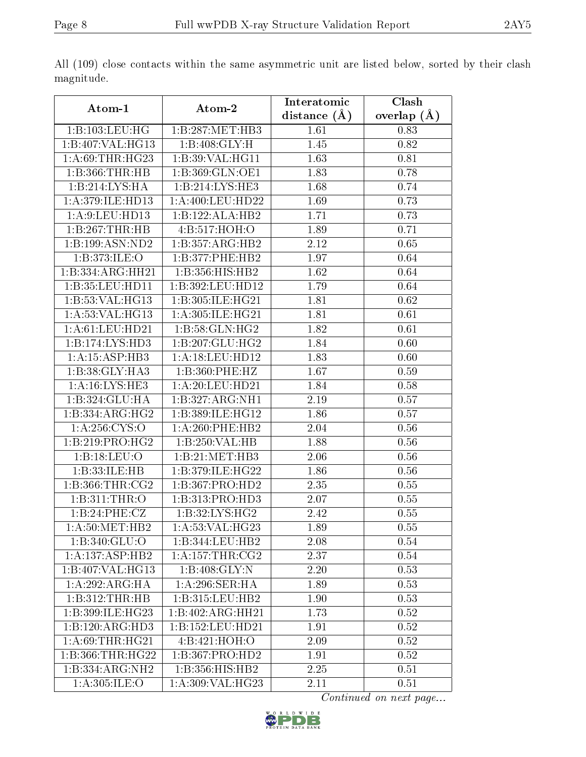|                               |                   | Interatomic    | Clash           |
|-------------------------------|-------------------|----------------|-----------------|
| Atom-1                        | Atom-2            | distance $(A)$ | overlap $(\AA)$ |
| 1:B:103:LEU:HG                | 1:B:287:MET:HB3   | 1.61           | 0.83            |
| 1:B:407:VAL:HG13              | 1:B:408:GLY:H     | 1.45           | 0.82            |
| 1: A:69:THR:HG23              | 1:B:39:VAL:HG11   | 1.63           | 0.81            |
| 1:B:366:THR:HB                | 1:B:369:GLN:OE1   | 1.83           | 0.78            |
| 1:B:214:LYS:HA                | 1:B:214:LYS:HE3   | 1.68           | 0.74            |
| 1: A:379: ILE: HD13           | 1: A:400:LEU:HD22 | 1.69           | 0.73            |
| 1:A:9:LEU:HD13                | 1:B:122:ALA:HB2   | 1.71           | 0.73            |
| 1:B:267:THR:HB                | 4:B:517:HOH:O     | 1.89           | 0.71            |
| 1:B:199:ASN:ND2               | 1:B:357:ARG:HB2   | 2.12           | 0.65            |
| 1:B:373:ILE:O                 | 1:B:377:PHE:HB2   | 1.97           | 0.64            |
| 1:B:334:ARG:HH21              | 1:B:356:HIS:HB2   | 1.62           | 0.64            |
| 1:B:35:LEU:HD11               | 1:B:392:LEU:HD12  | 1.79           | 0.64            |
| 1:B:53:VAL:HG13               | 1:B:305:ILE:HG21  | 1.81           | 0.62            |
| 1: A:53: VAL: HG13            | 1:A:305:ILE:HG21  | 1.81           | 0.61            |
| 1: A:61:LEU:HD21              | 1:B:58:GLN:HG2    | 1.82           | 0.61            |
| 1:B:174:LYS:HD3               | 1:B:207:GLU:HG2   | 1.84           | 0.60            |
| 1:A:15:ASP:HB3                | 1:A:18:LEU:HD12   | 1.83           | 0.60            |
| 1:B:38:GLY:HA3                | 1:B:360:PHE:HZ    | 1.67           | 0.59            |
| 1: A:16: LYS: HE3             | 1:A:20:LEU:HD21   | 1.84           | 0.58            |
| 1:B:324:GLU:HA                | 1:B:327:ARG:NH1   | 2.19           | 0.57            |
| 1:B:334:ARG:HG2               | 1:B:389:ILE:HG12  | 1.86           | 0.57            |
| 1:A:256:CYS:O                 | 1:A:260:PHE:HB2   | 2.04           | 0.56            |
| 1: B:219: PRO:HG2             | 1:B:250:VAL:HB    | 1.88           | 0.56            |
| 1:B:18:LEU:O                  | 1:B:21:MET:HB3    | 2.06           | 0.56            |
| 1:B:33:ILE:HB                 | 1:B:379:ILE:HG22  | 1.86           | $0.56\,$        |
| 1: B: 366: THR: CG2           | 1:B:367:PRO:HD2   | 2.35           | 0.55            |
| 1:B:311:THR:O                 | 1:B:313:PRO:HD3   | 2.07           | 0.55            |
| 1:B:24:PHE:CZ                 | 1:B:32:LYS:HG2    | 2.42           | $0.55\,$        |
| 1: A:50:MET:HB2               | 1: A:53: VAL:HG23 | 1.89           | 0.55            |
| 1:B:340:GLU:O                 | 1:B:344:LEU:HB2   | 2.08           | 0.54            |
| $1:A:137:ASP:\overline{H B2}$ | 1: A:157:THR:CG2  | 2.37           | 0.54            |
| 1:B:407:VAL:HG13              | 1:B:408:GLY:N     | 2.20           | 0.53            |
| 1:A:292:ARG:HA                | 1: A:296: SER: HA | 1.89           | 0.53            |
| 1:B:312:THR:HB                | 1:B:315:LEU:HB2   | 1.90           | 0.53            |
| 1:B:399:ILE:HG23              | 1:B:402:ARG:HH21  | 1.73           | 0.52            |
| 1:B:120:ARG:H <sub>D3</sub>   | 1:B:152:LEU:HD21  | 1.91           | 0.52            |
| 1: A:69:THR:HG21              | 4:Bi:421:HOH:O    | 2.09           | 0.52            |
| 1:B:366:THR:HG22              | 1:B:367:PRO:HD2   | 1.91           | 0.52            |
| 1:B:334:ARG:NH2               | 1:B:356:HIS:HB2   | 2.25           | 0.51            |
| 1:A:305:ILE:O                 | 1:A:309:VAL:HG23  | 2.11           | $0.51\,$        |

All (109) close contacts within the same asymmetric unit are listed below, sorted by their clash magnitude.

Continued on next page...

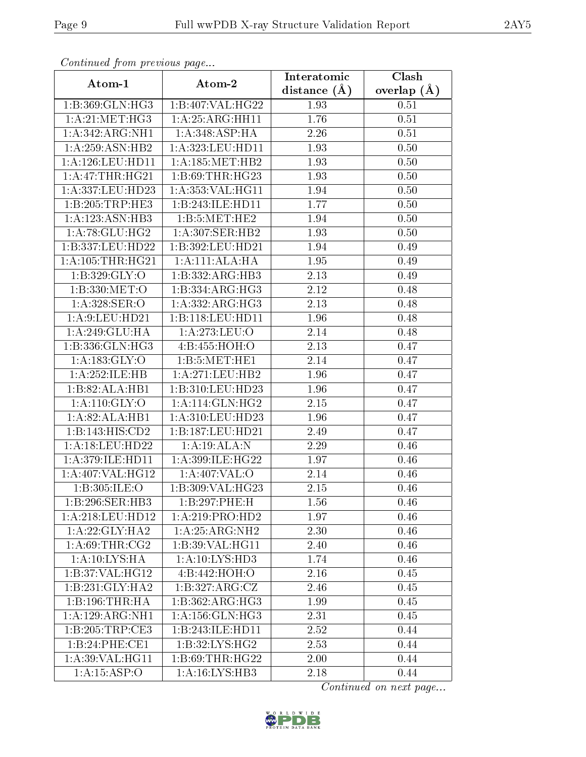| Comunaca jiom previous page |                     | Interatomic    | Clash         |
|-----------------------------|---------------------|----------------|---------------|
| Atom-1                      | Atom-2              | distance $(A)$ | overlap $(A)$ |
| 1:B:369:GLN:HG3             | 1:B:407:VAL:HG22    | 1.93           | 0.51          |
| 1:A:21:MET:HG3              | 1: A:25: ARG:HH11   | 1.76           | 0.51          |
| 1:A:342:ARG:NH1             | 1:A:348:ASP:HA      | 2.26           | 0.51          |
| 1:A:259:ASN:HB2             | 1:A:323:LEU:HD11    | 1.93           | 0.50          |
| 1: A:126:LEU:HD11           | 1: A:185:MET:HB2    | 1.93           | 0.50          |
| 1:A:47:THR:HG21             | 1: B:69:THR:HG23    | 1.93           | 0.50          |
| 1:A:337:LEU:HD23            | 1:A:353:VAL:HG11    | 1.94           | 0.50          |
| 1:B:205:TRP:HE3             | 1:B:243:ILE:HD11    | 1.77           | 0.50          |
| 1:A:123:ASN:HB3             | 1:B:5:MET:HE2       | 1.94           | 0.50          |
| 1: A:78: GLU:HG2            | 1: A:307: SER: HB2  | 1.93           | 0.50          |
| 1:B:337:LEU:HD22            | 1:B:392:LEU:HD21    | 1.94           | 0.49          |
| 1: A: 105: THR: HG21        | 1:A:111:ALA:HA      | 1.95           | 0.49          |
| 1: B:329: GLY:O             | 1:B:332:ARG:HB3     | 2.13           | 0.49          |
| 1:B:330:MET:O               | 1:B:334:ARG:HG3     | 2.12           | 0.48          |
| 1:A:328:SER:O               | 1: A: 332: ARG: HG3 | 2.13           | 0.48          |
| 1: A:9: LEU: HD21           | 1:B:118:LEU:HDI1    | 1.96           | 0.48          |
| 1:A:249:GLU:HA              | 1:A:273:LEU:O       | 2.14           | 0.48          |
| 1:B:336:GLN:HG3             | 4:B:455:HOH:O       | 2.13           | 0.47          |
| 1:A:183:GLY:O               | 1:B:5:MET:HE1       | 2.14           | 0.47          |
| 1:A:252:ILE:HB              | 1:A:271:LEU:HB2     | 1.96           | 0.47          |
| 1:B:82:ALA:HB1              | 1:B:310:LEU:HD23    | 1.96           | 0.47          |
| 1: A:110: GLY:O             | 1: A:114: GLN: HG2  | 2.15           | 0.47          |
| 1:A:82:ALA:HB1              | 1: A:310: LEU: HD23 | 1.96           | 0.47          |
| 1:B:143:HIS:CD2             | 1:B:187:LEU:HD21    | 2.49           | 0.47          |
| 1:A:18:LEU:HD22             | 1:A:19:ALA:N        | 2.29           | 0.46          |
| 1:A:379:ILE:HD11            | 1:A:399:ILE:HG22    | 1.97           | 0.46          |
| 1:A:407:VAL:HG12            | 1:A:407:VAL:O       | 2.14           | 0.46          |
| 1:B:305:ILE:O               | 1:B:309:VAL:HG23    | 2.15           | 0.46          |
| 1:B:296:SER:HB3             | 1:B:297:PHE:H       | 1.56           | 0.46          |
| 1:A:218:LEU:HD12            | 1:A:219:PRO:HD2     | 1.97           | 0.46          |
| 1: A:22: GLY:HA2            | 1:A:25:ARG:NH2      | 2.30           | 0.46          |
| 1: A:69:THR:CG2             | 1:B:39: VAL: HG11   | 2.40           | 0.46          |
| 1:A:10:LYS:HA               | 1:A:10:LYS:HD3      | 1.74           | 0.46          |
| 1:B:37:VAL:HG12             | 4:B:442:HOH:O       | 2.16           | 0.45          |
| 1:B:231:GLY:HA2             | 1:B:327:ARG:CZ      | 2.46           | 0.45          |
| 1:B:196:THR:HA              | 1:B:362:ARG:HG3     | 1.99           | 0.45          |
| 1:A:129:ARG:NH1             | 1: A: 156: GLN: HG3 | 2.31           | 0.45          |
| 1:B:205:TRP:CE3             | 1:B:243:ILE:HD11    | 2.52           | 0.44          |
| 1:B:24:PHE:CE1              | 1: B:32: LYS: HG2   | 2.53           | 0.44          |
| 1: A:39: VAL:HGI1           | 1: B:69:THR:HG22    | 2.00           | 0.44          |
| 1:A:15:ASP:O                | 1:A:16:LYS:HB3      | 2.18           | 0.44          |

Continued from previous page.

Continued on next page...

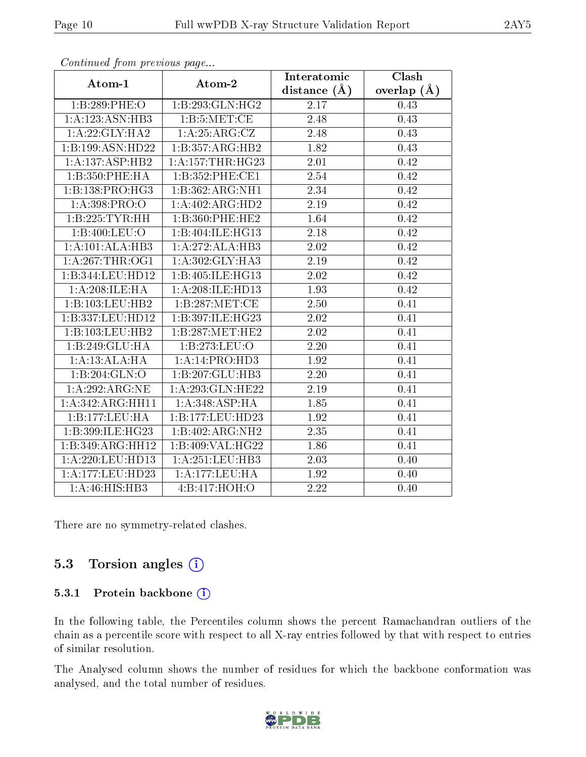| $\sum_{i=1}^{n}$             |                   | Interatomic    | Clash         |
|------------------------------|-------------------|----------------|---------------|
| Atom-1                       | Atom-2            | distance $(A)$ | overlap $(A)$ |
| 1:B:289:PHE:O                | 1:B:293:GLN:HG2   | 2.17           | 0.43          |
| 1:A:123:ASN:HB3              | 1: B: 5: MET: CE  | 2.48           | 0.43          |
| 1:A:22:GLY:HA2               | 1: A:25: ARG: CZ  | 2.48           | 0.43          |
| 1:B:199:ASN:HD22             | 1:B:357:ARG:HB2   | 1.82           | 0.43          |
| 1:A:137:ASP:HB2              | 1: A:157:THR:HG23 | 2.01           | 0.42          |
| 1:B:350:PHE:HA               | 1:B:352:PHE:CE1   | 2.54           | 0.42          |
| 1:B:138:PRO:HG3              | 1:B:362:ARG:NH1   | 2.34           | 0.42          |
| 1: A: 398: PRO: O            | 1:A:402:ARG:HD2   | 2.19           | 0.42          |
| 1:B:225:TYR:HH               | 1:B:360:PHE:HE2   | 1.64           | 0.42          |
| 1:B:400:LEU:O                | 1:B:404:ILE:HG13  | 2.18           | 0.42          |
| 1:A:101:ALA:HB3              | 1:A:272:ALA:HB3   | 2.02           | 0.42          |
| 1: A:267:THR:OG1             | 1:A:302:GLY:HA3   | 2.19           | 0.42          |
| 1:B:344:LEU:HD12             | 1:B:405:ILE:HG13  | 2.02           | 0.42          |
| 1: A:208: ILE: HA            | 1:A:208:ILE:HD13  | 1.93           | 0.42          |
| 1:B:103:LEU:HB2              | 1:B:287:MET:CE    | 2.50           | 0.41          |
| 1:B:337:LEU:HD12             | 1:B:397:ILE:HG23  | 2.02           | 0.41          |
| 1:B:103:LEU:HB2              | 1:B:287:MET:HE2   | 2.02           | 0.41          |
| 1:B:249:GLU:HA               | 1:B:273:LEU:O     | 2.20           | 0.41          |
| 1:A:13:ALA:HA                | 1:A:14:PRO:HD3    | 1.92           | 0.41          |
| 1:B:204:GLN:O                | 1:B:207:GLU:HB3   | 2.20           | 0.41          |
| $1: A:292:A\overline{R}G:NE$ | 1:A:293:GLN:HE22  | 2.19           | 0.41          |
| 1:A:342:ARG:HH11             | 1:A:348:ASP:HA    | 1.85           | 0.41          |
| 1:B:177:LEU:HA               | 1:B:177:LEU:HD23  | 1.92           | 0.41          |
| 1:B:399:ILE:HG23             | 1:B:402:ARG:NH2   | 2.35           | 0.41          |
| 1:B:349:ARG:HH12             | 1:B:409:VAL:HG22  | 1.86           | 0.41          |
| 1:A:220:LEU:HD13             | 1:A:251:LEU:HB3   | 2.03           | 0.40          |
| 1:A:177:LEU:HD23             | 1:A:177:LEU:HA    | 1.92           | 0.40          |
| 1:A:46:HIS:HB3               | 4:B:417:HOH:O     | 2.22           | 0.40          |

Continued from previous page...

There are no symmetry-related clashes.

### 5.3 Torsion angles  $(i)$

#### 5.3.1 Protein backbone (i)

In the following table, the Percentiles column shows the percent Ramachandran outliers of the chain as a percentile score with respect to all X-ray entries followed by that with respect to entries of similar resolution.

The Analysed column shows the number of residues for which the backbone conformation was analysed, and the total number of residues.

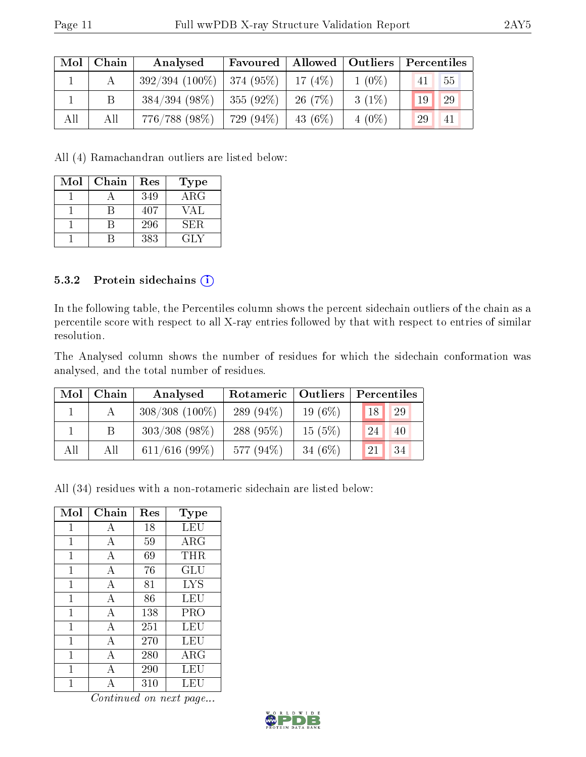| Mol | Chain | Analysed                       | Favoured   Allowed   Outliers |            |          | Percentiles |                 |
|-----|-------|--------------------------------|-------------------------------|------------|----------|-------------|-----------------|
|     |       | $392/394$ (100\%)   374 (95\%) |                               | 17(4%)     | $1(0\%)$ | 41          | 55              |
|     |       | $384/394$ (98\%)               | 355(92%)                      | 26(7%)     | $3(1\%)$ | 19          | 29              |
| All | All   | 776/788 (98%)                  | 729 (94\%)                    | $-43(6\%)$ | $4(0\%)$ | 29          | $\overline{41}$ |

All (4) Ramachandran outliers are listed below:

| Mol | Chain | Res | <b>Type</b> |
|-----|-------|-----|-------------|
|     |       | 349 | $\rm{ARG}$  |
|     |       | 407 | VAL         |
|     |       | 296 | SER.        |
|     |       | 383 | GLY         |

#### 5.3.2 Protein sidechains (i)

In the following table, the Percentiles column shows the percent sidechain outliers of the chain as a percentile score with respect to all X-ray entries followed by that with respect to entries of similar resolution.

The Analysed column shows the number of residues for which the sidechain conformation was analysed, and the total number of residues.

| Mol | Chain | Analysed          | Rotameric   Outliers |            | Percentiles         |  |  |
|-----|-------|-------------------|----------------------|------------|---------------------|--|--|
|     |       | $308/308$ (100\%) | 289 $(94\%)$         | 19 $(6\%)$ | 18 <br>29           |  |  |
|     | B.    | $303/308$ (98\%)  | 288 (95%)            | $15(5\%)$  | 24<br>40            |  |  |
| All | All   | $611/616$ (99%)   | 577 (94%)            | 34 $(6%)$  | <sup>21</sup><br>34 |  |  |

All (34) residues with a non-rotameric sidechain are listed below:

| Mol          | Chain          | Res | Type                 |
|--------------|----------------|-----|----------------------|
| 1            | А              | 18  | LEU                  |
| 1            | А              | 59  | ARG                  |
| 1            | А              | 69  | THR                  |
| 1            | А              | 76  | $\operatorname{GLU}$ |
| 1            | $\overline{A}$ | 81  | <b>LYS</b>           |
| 1            | A              | 86  | LEU                  |
| 1            | A              | 138 | PRO                  |
| 1            | А              | 251 | LEU                  |
| $\mathbf{1}$ | А              | 270 | LEU                  |
| 1            | А              | 280 | ARG                  |
| 1            | А              | 290 | LEU                  |
|              |                | 310 | LEU                  |

Continued on next page...

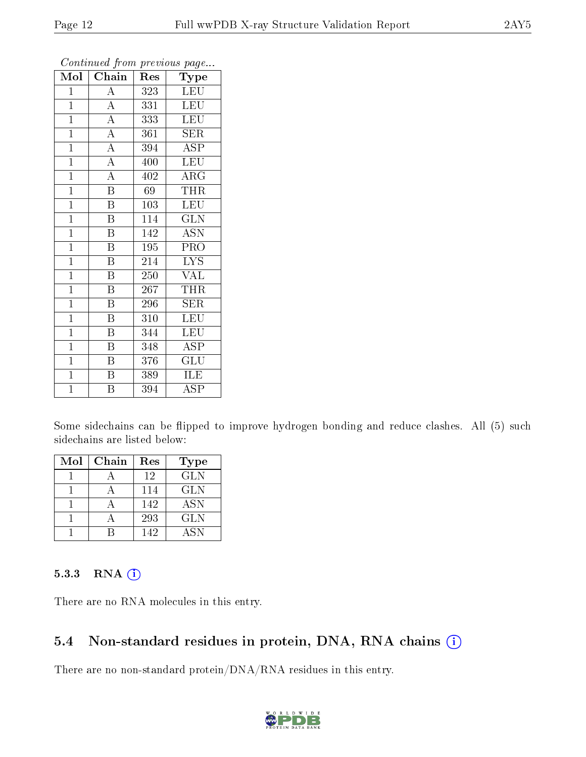| Mol            | Chain                   | Res | 1 <sup>- 1</sup> - 1<br>Type |
|----------------|-------------------------|-----|------------------------------|
| $\mathbf{1}$   | $\boldsymbol{A}$        | 323 | <b>LEU</b>                   |
| $\mathbf{1}$   | $\overline{\rm A}$      | 331 | LEU                          |
| $\mathbf{1}$   | $\overline{A}$          | 333 | <b>LEU</b>                   |
| $\mathbf{1}$   | $\overline{A}$          | 361 | SER                          |
| $\mathbf{1}$   | $\overline{\rm A}$      | 394 | ASP                          |
| $\mathbf{1}$   | $\overline{A}$          | 400 | <b>LEU</b>                   |
| $\mathbf{1}$   | $\overline{\rm A}$      | 402 | ARG                          |
| $\mathbf{1}$   | $\overline{\text{B}}$   | 69  | <b>THR</b>                   |
| $\mathbf{1}$   | $\boldsymbol{B}$        | 103 | <b>LEU</b>                   |
| $\mathbf{1}$   | B                       | 114 | <b>GLN</b>                   |
| $\overline{1}$ | $\overline{\mathrm{B}}$ | 142 | <b>ASN</b>                   |
| $\overline{1}$ | $\overline{\mathrm{B}}$ | 195 | PRO                          |
| $\overline{1}$ | $\overline{B}$          | 214 | <b>LYS</b>                   |
| $\mathbf{1}$   | B                       | 250 | <b>VAL</b>                   |
| $\mathbf{1}$   | $\overline{\text{B}}$   | 267 | THR                          |
| $\mathbf{1}$   | $\overline{\mathrm{B}}$ | 296 | SER                          |
| $\mathbf{1}$   | $\overline{\mathrm{B}}$ | 310 | LEU                          |
| $\mathbf{1}$   | B                       | 344 | LEU                          |
| $\mathbf{1}$   | $\overline{B}$          | 348 | <b>ASP</b>                   |
| $\mathbf{1}$   | B                       | 376 | $\overline{\text{GLU}}$      |
| $\overline{1}$ | $\overline{\mathrm{B}}$ | 389 | ILE                          |
| $\overline{1}$ | $\overline{\mathrm{B}}$ | 394 | $\rm \overline{A}SP$         |

Continued from previous page...

Some sidechains can be flipped to improve hydrogen bonding and reduce clashes. All (5) such sidechains are listed below:

| Mol | Chain | Res | Type       |
|-----|-------|-----|------------|
|     |       | 12  | <b>GLN</b> |
|     |       | 114 | <b>GLN</b> |
|     |       | 142 | <b>ASN</b> |
|     |       | 293 | <b>GLN</b> |
|     |       | 142 | <b>ASN</b> |

#### 5.3.3 RNA [O](https://www.wwpdb.org/validation/2017/XrayValidationReportHelp#rna)i

There are no RNA molecules in this entry.

#### 5.4 Non-standard residues in protein, DNA, RNA chains (i)

There are no non-standard protein/DNA/RNA residues in this entry.

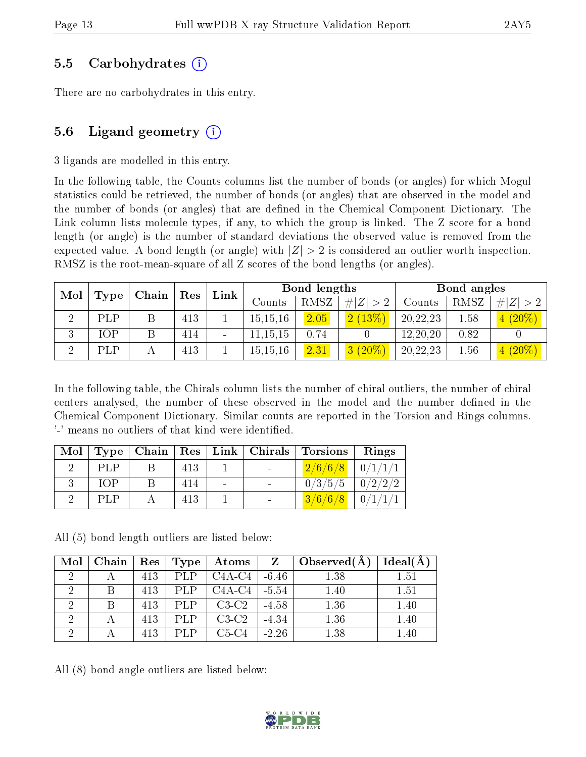### 5.5 Carbohydrates (i)

There are no carbohydrates in this entry.

## 5.6 Ligand geometry  $(i)$

3 ligands are modelled in this entry.

In the following table, the Counts columns list the number of bonds (or angles) for which Mogul statistics could be retrieved, the number of bonds (or angles) that are observed in the model and the number of bonds (or angles) that are dened in the Chemical Component Dictionary. The Link column lists molecule types, if any, to which the group is linked. The Z score for a bond length (or angle) is the number of standard deviations the observed value is removed from the expected value. A bond length (or angle) with  $|Z| > 2$  is considered an outlier worth inspection. RMSZ is the root-mean-square of all Z scores of the bond lengths (or angles).

| Mol    | Type | Chain | $\operatorname{Res}$ | Link                     |            | Bond lengths |             |          | Bond angles |             |
|--------|------|-------|----------------------|--------------------------|------------|--------------|-------------|----------|-------------|-------------|
|        |      |       |                      |                          | Counts     | RMSZ         | # $ Z  > 2$ | Counts   | RMSZ        | # $ Z  > 2$ |
|        | PLP  |       | 413                  |                          | 15, 15, 16 | 2.05         | 2(13%)      | 20,22,23 | 1.58        | $(20\%)$    |
| ച<br>Ő | IOP  |       | 414                  | $\overline{\phantom{a}}$ | 11,15,15   | 0.74         |             | 12,20,20 | 0.82        |             |
| ച      | PLP  |       | 413                  |                          | 15, 15, 16 | 2.31         | $3(20\%)$   | 20,22,23 | 1.56        | $4(20\%)$   |

In the following table, the Chirals column lists the number of chiral outliers, the number of chiral centers analysed, the number of these observed in the model and the number defined in the Chemical Component Dictionary. Similar counts are reported in the Torsion and Rings columns. '-' means no outliers of that kind were identified.

|            |     |  | Mol   Type   Chain   Res   Link   Chirals   Torsions | Rings |
|------------|-----|--|------------------------------------------------------|-------|
| <b>PLP</b> | 413 |  | $2/6/6/8$ 0/1/1/1                                    |       |
| <b>TOP</b> | 414 |  | $0/3/5/5$ $0/2/2/2$                                  |       |
| <b>PLP</b> | 413 |  | $3/6/6/8$ 0/1/1/1                                    |       |

All (5) bond length outliers are listed below:

| Mol | Chain ' | $R$ es $\pm$ | Type       | $\boldsymbol{\mathrm{Atoms}}$ |         | $\big\{\right.$ Observed( $\big(A\big)$ | Ideal(A) |
|-----|---------|--------------|------------|-------------------------------|---------|-----------------------------------------|----------|
| റ   |         | 413          | <b>PLP</b> | C4A-C4                        | $-6.46$ | 1.38                                    | 1.51     |
|     |         | 413          | PLP        | $C4A-C4$                      | $-5.54$ | 1.40                                    | 1.51     |
|     |         | 413          | PLP.       | $C3-C2$                       | $-4.58$ | 1.36                                    | 1.40     |
|     |         | 413          | PLP        | $C3-C2$                       | $-4.34$ | 1.36                                    | 1.40     |
|     |         | 413          | PI.P       | $C5-C4$                       | $-2.26$ | 1.38                                    | 1.40     |

All (8) bond angle outliers are listed below:

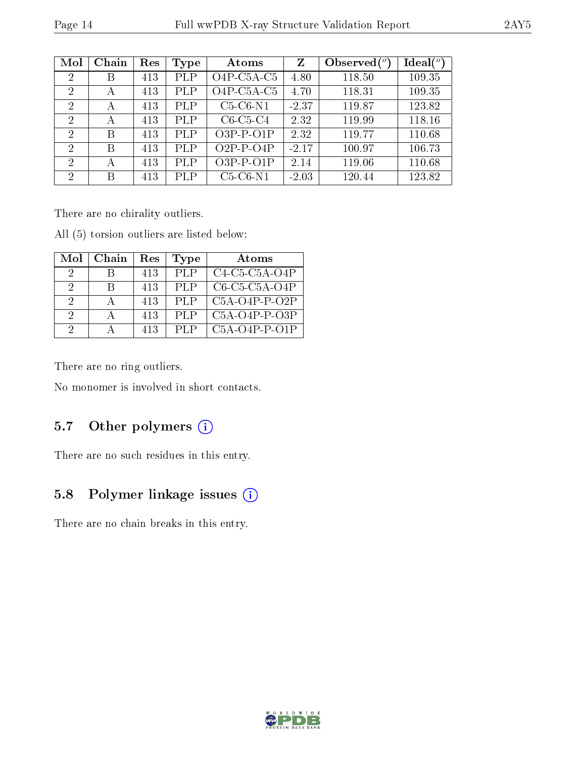| Mol            | Chain | Res | Type       | Atoms                                  | Z       | Observed $(°)$ | $\text{Ideal}({}^o)$ |
|----------------|-------|-----|------------|----------------------------------------|---------|----------------|----------------------|
| $\overline{2}$ | В     | 413 | PLP        | $O4P$ -C <sub>5</sub> A-C <sub>5</sub> | 4.80    | 118.50         | 109.35               |
| $\overline{2}$ | А     | 413 | PLP        | $O4P$ -C <sub>5</sub> A-C <sub>5</sub> | 4.70    | 118.31         | 109.35               |
| $\overline{2}$ | А     | 413 | <b>PLP</b> | $C5-C6-N1$                             | $-2.37$ | 119.87         | 123.82               |
| $\overline{2}$ | А     | 413 | <b>PLP</b> | $C6-C5-C4$                             | 2.32    | 119.99         | 118.16               |
| $\overline{2}$ | В     | 413 | PLP        | $O3P-P-O1P$                            | 2.32    | 119.77         | 110.68               |
| $\mathcal{D}$  | В     | 413 | <b>PLP</b> | $O2P-P-O4P$                            | $-2.17$ | 100.97         | 106.73               |
| $\overline{2}$ | А     | 413 | PLP        | $O3P-P-O1P$                            | 2.14    | 119.06         | 110.68               |
| 2              | В     | 413 | <b>PLP</b> | $C5-C6-N1$                             | $-2.03$ | 120.44         | 123.82               |

There are no chirality outliers.

All (5) torsion outliers are listed below:

| Mol | Chain | Res | Type | Atoms           |
|-----|-------|-----|------|-----------------|
| -9  |       | 413 | PLP  | $C4-C5-C5A-O4P$ |
| 9   |       | 413 | PLP  | $C6-C5-C5A-O4P$ |
| 2   |       | 413 | PLP  | $C5A-O4P-P-O2P$ |
| 2   |       | 413 | PLP  | $C5A-O4P-P-O3P$ |
| 9   |       | 413 | PLP  | $C5A-O4P-P-O1P$ |

There are no ring outliers.

No monomer is involved in short contacts.

#### 5.7 [O](https://www.wwpdb.org/validation/2017/XrayValidationReportHelp#nonstandard_residues_and_ligands)ther polymers (i)

There are no such residues in this entry.

## 5.8 Polymer linkage issues (i)

There are no chain breaks in this entry.